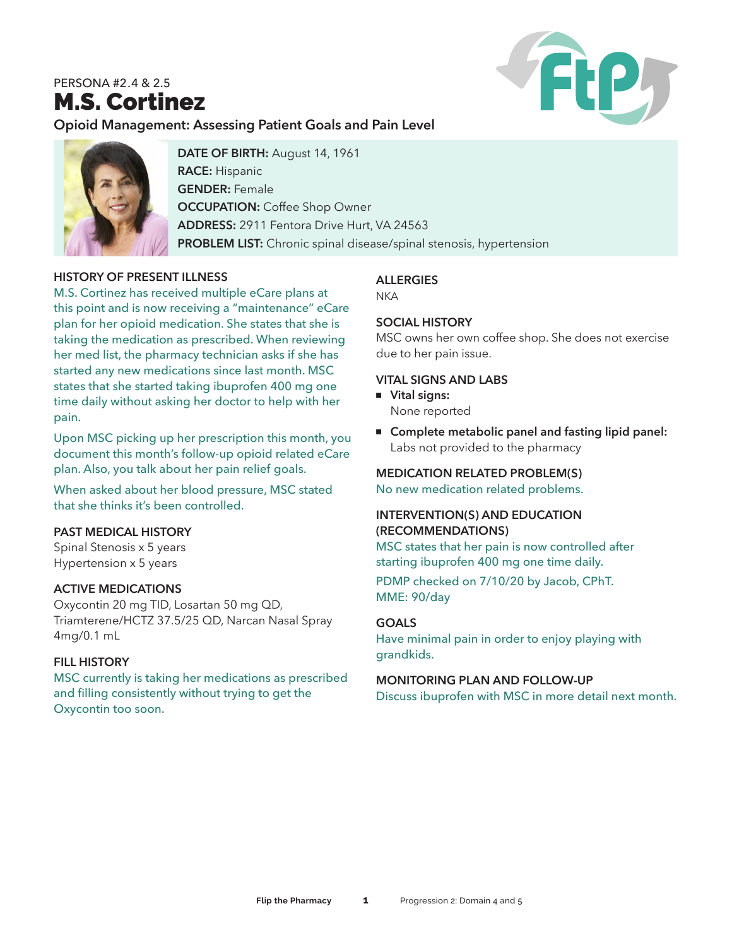# PERSONA #2.4 & 2.5 M.S. Cortinez



# **Opioid Management: Assessing Patient Goals and Pain Level**



**DATE OF BIRTH:** August 14, 1961 **RACE:** Hispanic **GENDER:** Female **OCCUPATION: Coffee Shop Owner ADDRESS:** 2911 Fentora Drive Hurt, VA 24563 **PROBLEM LIST:** Chronic spinal disease/spinal stenosis, hypertension

### **HISTORY OF PRESENT ILLNESS**

M.S. Cortinez has received multiple eCare plans at this point and is now receiving a "maintenance" eCare plan for her opioid medication. She states that she is taking the medication as prescribed. When reviewing her med list, the pharmacy technician asks if she has started any new medications since last month. MSC states that she started taking ibuprofen 400 mg one time daily without asking her doctor to help with her pain.

Upon MSC picking up her prescription this month, you document this month's follow-up opioid related eCare plan. Also, you talk about her pain relief goals.

When asked about her blood pressure, MSC stated that she thinks it's been controlled.

#### **PAST MEDICAL HISTORY**

Spinal Stenosis x 5 years Hypertension x 5 years

#### **ACTIVE MEDICATIONS**

Oxycontin 20 mg TID, Losartan 50 mg QD, Triamterene/HCTZ 37.5/25 QD, Narcan Nasal Spray 4mg/0.1 mL

#### **FILL HISTORY**

MSC currently is taking her medications as prescribed and filling consistently without trying to get the Oxycontin too soon.

### **ALLERGIES**

**NKA** 

#### **SOCIAL HISTORY**

MSC owns her own coffee shop. She does not exercise due to her pain issue.

#### **VITAL SIGNS AND LABS**

# <sup>n</sup> **Vital signs:**

None reported

■ Complete metabolic panel and fasting lipid panel: Labs not provided to the pharmacy

#### **MEDICATION RELATED PROBLEM(S)**

No new medication related problems.

#### **INTERVENTION(S) AND EDUCATION (RECOMMENDATIONS)**

MSC states that her pain is now controlled after starting ibuprofen 400 mg one time daily.

PDMP checked on 7/10/20 by Jacob, CPhT. MME: 90/day

#### **GOALS**

Have minimal pain in order to enjoy playing with grandkids.

#### **MONITORING PLAN AND FOLLOW-UP**

Discuss ibuprofen with MSC in more detail next month.